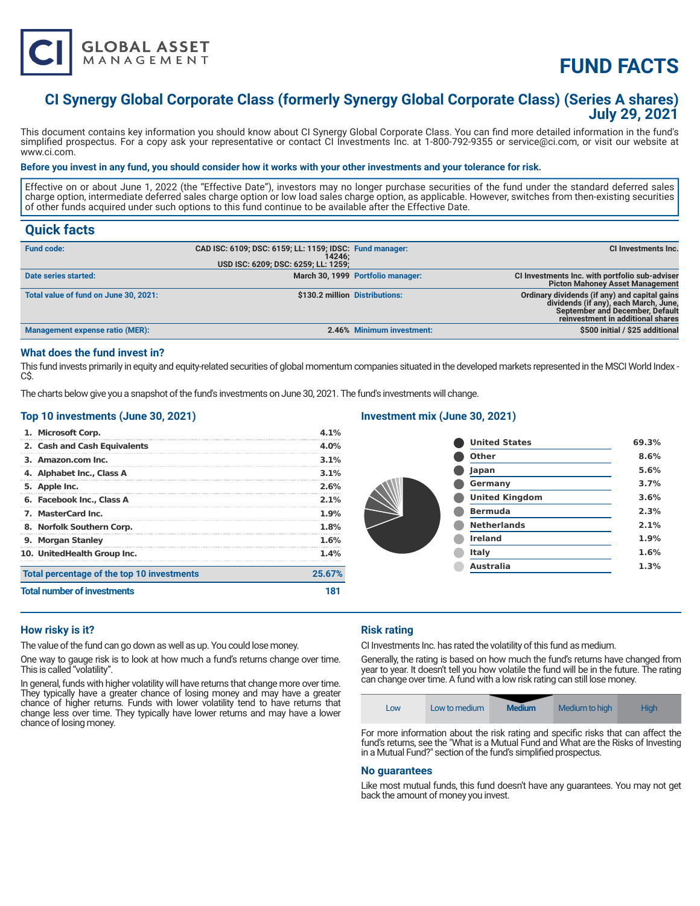

# **FUND FACTS**

# **CI Synergy Global Corporate Class (formerly Synergy Global Corporate Class) (Series A shares) July 29, 2021**

This document contains key information you should know about CI Synergy Global Corporate Class. You can find more detailed information in the fund's simplified prospectus. For a copy ask your representative or contact CI Investments Inc. at 1-800-792-9355 or service@ci.com, or visit our website at www.ci.com.

#### **Before you invest in any fund, you should consider how it works with your other investments and your tolerance for risk.**

Effective on or about June 1, 2022 (the "Effective Date"), investors may no longer purchase securities of the fund under the standard deferred sales charge option, intermediate deferred sales charge option or low load sales charge option, as applicable. However, switches from then-existing securities of other funds acquired under such options to this fund continue to be available after the Effective Date.

# **Quick facts**

| <b>Fund code:</b>                      | CAD ISC: 6109; DSC: 6159; LL: 1159; IDSC: Fund manager:<br>14246: |                                   | CI Investments Inc.                                                                                                                                                   |
|----------------------------------------|-------------------------------------------------------------------|-----------------------------------|-----------------------------------------------------------------------------------------------------------------------------------------------------------------------|
|                                        | USD ISC: 6209; DSC: 6259; LL: 1259;                               |                                   |                                                                                                                                                                       |
| Date series started:                   |                                                                   | March 30, 1999 Portfolio manager: | CI Investments Inc. with portfolio sub-adviser<br>Picton Mahoney Asset Management                                                                                     |
| Total value of fund on June 30, 2021:  | \$130.2 million Distributions:                                    |                                   | Ordinary dividends (if any) and capital gains<br>dividends (if any), each March, June,<br><b>September and December, Default</b><br>reinvestment in additional shares |
| <b>Management expense ratio (MER):</b> |                                                                   | 2.46% Minimum investment:         | \$500 initial / \$25 additional                                                                                                                                       |

### **What does the fund invest in?**

This fund invests primarily in equity and equity-related securities of global momentum companies situated in the developed markets represented in the MSCI World Index -C\$.

The charts below give you a snapshot of the fund's investments on June 30, 2021. The fund's investments will change.

### **Top 10 investments (June 30, 2021)**

| <b>Total number of investments</b>         | 181     |
|--------------------------------------------|---------|
| Total percentage of the top 10 investments | 25.67%  |
| 10. UnitedHealth Group Inc.                | 1.4%    |
| 9. Morgan Stanley                          | 1.6%    |
| 8. Norfolk Southern Corp.                  | 1.8%    |
| 7. MasterCard Inc.                         | 1.9%    |
| 6. Facebook Inc., Class A                  | $2.1\%$ |
| 5. Apple Inc.                              | 2.6%    |
| 4. Alphabet Inc., Class A                  | $3.1\%$ |
| 3. Amazon.com Inc.                         | 3.1%    |
| 2. Cash and Cash Equivalents               | 4.0%    |
| 1. Microsoft Corp.                         | 4.1%    |

# **Investment mix (June 30, 2021)**

| 8.6% |
|------|
| 5.6% |
| 3.7% |
| 3.6% |
| 2.3% |
| 2.1% |
| 1.9% |
| 1.6% |
| 1.3% |
|      |

# **How risky is it?**

The value of the fund can go down as well as up. You could lose money.

One way to gauge risk is to look at how much a fund's returns change over time. This is called "volatility".

In general, funds with higher volatility will have returns that change more over time. They typically have a greater chance of losing money and may have a greater chance of higher returns. Funds with lower volatility tend to have returns that change less over time. They typically have lower returns and may have a lower chance of losing money.

# **Risk rating**

CI Investments Inc. has rated the volatility of this fund as medium.

Generally, the rating is based on how much the fund's returns have changed from year to year. It doesn't tell you how volatile the fund will be in the future. The rating can change over time. A fund with a low risk rating can still lose money.

| <b>Medium</b><br>Medium to high<br><b>High</b><br>Low to medium<br>LOW |
|------------------------------------------------------------------------|
|------------------------------------------------------------------------|

For more information about the risk rating and specific risks that can affect the fund's returns, see the "What is a Mutual Fund and What are the Risks of Investing in a Mutual Fund?" section of the fund's simplified prospectus.

#### **No guarantees**

Like most mutual funds, this fund doesn't have any guarantees. You may not get back the amount of money you invest.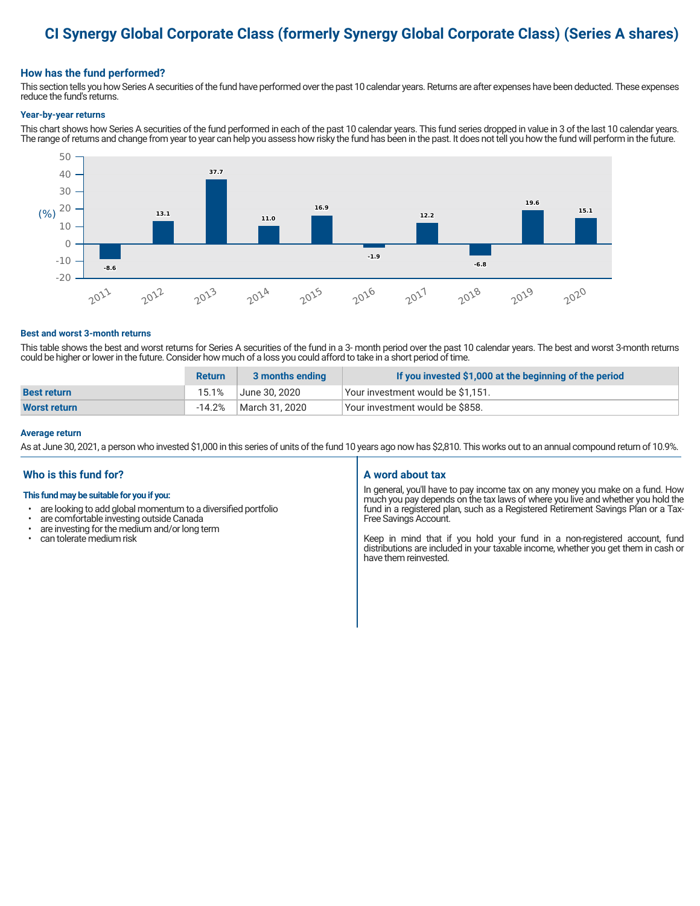# **CI Synergy Global Corporate Class (formerly Synergy Global Corporate Class) (Series A shares)**

# **How has the fund performed?**

This section tells you how Series A securities of the fund have performed over the past 10 calendar years. Returns are after expenses have been deducted. These expenses reduce the fund's returns.

#### **Year-by-year returns**

This chart shows how Series A securities of the fund performed in each of the past 10 calendar years. This fund series dropped in value in 3 of the last 10 calendar years. The range of returns and change from year to year can help you assess how risky the fund has been in the past. It does not tell you how the fund will perform in the future.



#### **Best and worst 3-month returns**

This table shows the best and worst returns for Series A securities of the fund in a 3- month period over the past 10 calendar years. The best and worst 3-month returns could be higher or lower in the future. Consider how much of a loss you could afford to take in a short period of time.

|                     | <b>Return</b> | 3 months ending | If you invested \$1,000 at the beginning of the period |
|---------------------|---------------|-----------------|--------------------------------------------------------|
| <b>Best return</b>  | 15.1%         | June 30, 2020   | Your investment would be \$1,151.                      |
| <b>Worst return</b> | $-14.2%$      | March 31, 2020  | Your investment would be \$858.                        |

#### **Average return**

As at June 30, 2021, a person who invested \$1,000 in this series of units of the fund 10 years ago now has \$2,810. This works out to an annual compound return of 10.9%.

# **Who is this fund for?**

#### **This fund may be suitable for you if you:**

- are looking to add global momentum to a diversified portfolio
- are comfortable investing outside Canada<br>• are investing for the medium and/or long to
- are investing for the medium and/or long term<br>• can tolerate medium risk
- can tolerate medium risk

#### **A word about tax**

In general, you'll have to pay income tax on any money you make on a fund. How much you pay depends on the tax laws of where you live and whether you hold the fund in a registered plan, such as a Registered Retirement Savings Plan or a Tax-Free Savings Account.

Keep in mind that if you hold your fund in a non-registered account, fund distributions are included in your taxable income, whether you get them in cash or have them reinvested.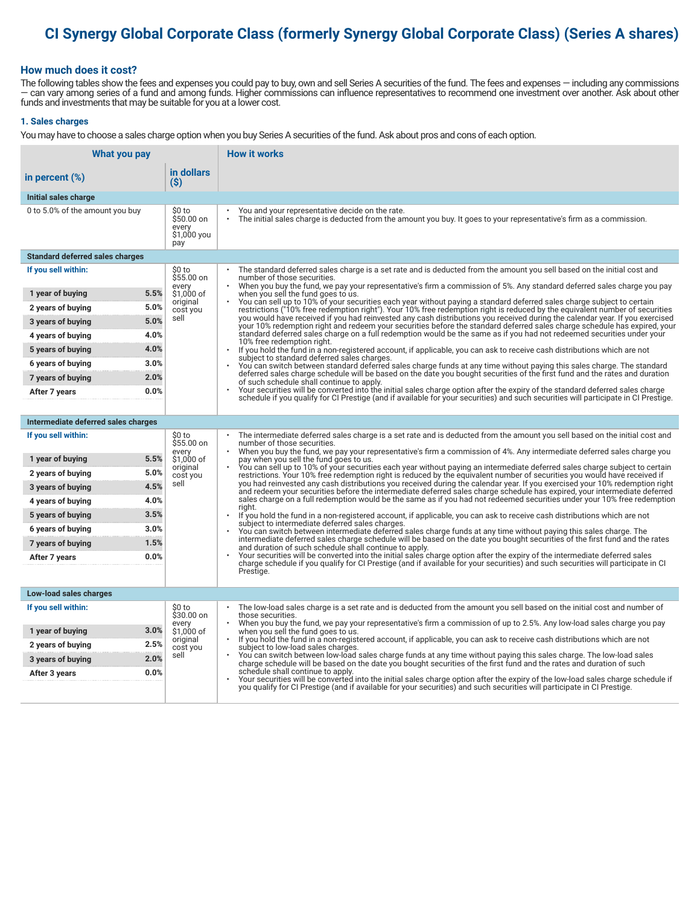# **CI Synergy Global Corporate Class (formerly Synergy Global Corporate Class) (Series A shares)**

### **How much does it cost?**

The following tables show the fees and expenses you could pay to buy, own and sell Series A securities of the fund. The fees and expenses — including any commissions — can vary among series of a fund and among funds. Higher commissions can influence representatives to recommend one investment over another. Ask about other funds and investments that may be suitable for you at a lower cost.

#### **1. Sales charges**

You may have to choose a sales charge option when you buy Series A securities of the fund. Ask about pros and cons of each option.

| What you pay                           |                                                     | <b>How it works</b>                                                                                                                                                                                                                                                                   |
|----------------------------------------|-----------------------------------------------------|---------------------------------------------------------------------------------------------------------------------------------------------------------------------------------------------------------------------------------------------------------------------------------------|
| in percent $(\%)$                      | in dollars<br>(S)                                   |                                                                                                                                                                                                                                                                                       |
| Initial sales charge                   |                                                     |                                                                                                                                                                                                                                                                                       |
| 0 to 5.0% of the amount you buy        | \$0 to<br>\$50.00 on<br>every<br>\$1,000 you<br>pay | You and your representative decide on the rate.<br>The initial sales charge is deducted from the amount you buy. It goes to your representative's firm as a commission.                                                                                                               |
| <b>Standard deferred sales charges</b> |                                                     |                                                                                                                                                                                                                                                                                       |
| If you sell within:                    | \$0 to<br>\$55.00 on                                | The standard deferred sales charge is a set rate and is deducted from the amount you sell based on the initial cost and<br>number of those securities.<br>When you buy the fund, we pay your representative's firm a commission of 5%. Any standard deferred sales charge you pay     |
| 5.5%<br>1 year of buying               | every<br>\$1.000 of                                 | when you sell the fund goes to us.                                                                                                                                                                                                                                                    |
| 5.0%<br>2 years of buying              | original<br>cost you                                | You can sell up to 10% of your securities each year without paying a standard deferred sales charge subject to certain<br>restrictions ("10% free redemption right"). Your 10% free redemption right is reduced by the equivalent number of securities                                |
| 5.0%<br>3 years of buying              | sell                                                | you would have received if you had reinvested any cash distributions you received during the calendar year. If you exercised<br>your 10% redemption right and redeem your securities before the standard deferred sales charge schedule has expired, your                             |
| 4.0%<br>4 years of buying              |                                                     | standard deferred sales charge on a full redemption would be the same as if you had not redeemed securities under your<br>10% free redemption right.                                                                                                                                  |
| 4.0%<br>5 years of buying              |                                                     | If you hold the fund in a non-registered account, if applicable, you can ask to receive cash distributions which are not<br>$\bullet$<br>subject to standard deferred sales charges.                                                                                                  |
| 3.0%<br>6 years of buying              |                                                     | You can switch between standard deferred sales charge funds at any time without paying this sales charge. The standard                                                                                                                                                                |
| 2.0%<br>7 years of buying              |                                                     | deferred sales charge schedule will be based on the date you bought securities of the first fund and the rates and duration<br>of such schedule shall continue to apply.                                                                                                              |
| 0.0%<br>After 7 years                  |                                                     | Your securities will be converted into the initial sales charge option after the expiry of the standard deferred sales charge<br>schedule if you qualify for CI Prestige (and if available for your securities) and such securities will participate in CI Prestige.                  |
|                                        |                                                     |                                                                                                                                                                                                                                                                                       |
| Intermediate deferred sales charges    |                                                     |                                                                                                                                                                                                                                                                                       |
| If you sell within:                    | \$0 to<br>\$55.00 on<br>every                       | The intermediate deferred sales charge is a set rate and is deducted from the amount you sell based on the initial cost and<br>number of those securities.<br>When you buy the fund, we pay your representative's firm a commission of 4%. Any intermediate deferred sales charge you |
| 5.5%<br>1 year of buying               | \$1,000 of<br>original                              | pay when you sell the fund goes to us.<br>You can sell up to 10% of your securities each year without paying an intermediate deferred sales charge subject to certain                                                                                                                 |
| 5.0%<br>2 years of buying              | cost you                                            | restrictions. Your 10% free redemption right is reduced by the equivalent number of securities you would have received if                                                                                                                                                             |
| 4.5%<br>3 years of buying              | sell                                                | you had reinvested any cash distributions you received during the calendar year. If you exercised your 10% redemption right<br>and redeem your securities before the intermediate deferred sales charge schedule has expired, your intermediate deferred                              |
| 4.0%<br>4 years of buying              |                                                     | sales charge on a full redemption would be the same as if you had not redeemed securities under your 10% free redemption<br>riaht.                                                                                                                                                    |
| 3.5%<br>5 years of buying              |                                                     | If you hold the fund in a non-registered account, if applicable, you can ask to receive cash distributions which are not<br>subject to intermediate deferred sales charges.                                                                                                           |
| 3.0%<br>6 years of buying              |                                                     | You can switch between intermediate deferred sales charge funds at any time without paying this sales charge. The<br>intermediate deferred sales charge schedule will be based on the date you bought securities of the first fund and the rates                                      |
| 1.5%<br>7 years of buying              |                                                     | and duration of such schedule shall continue to apply.<br>Your securities will be converted into the initial sales charge option after the expiry of the intermediate deferred sales                                                                                                  |
| 0.0%<br>After 7 years                  |                                                     | charge schedule if you qualify for CI Prestige (and if available for your securities) and such securities will participate in CI                                                                                                                                                      |
|                                        |                                                     | Prestige.                                                                                                                                                                                                                                                                             |
| Low-load sales charges                 |                                                     |                                                                                                                                                                                                                                                                                       |
| If you sell within:                    | \$0 to<br>\$30.00 on                                | The low-load sales charge is a set rate and is deducted from the amount you sell based on the initial cost and number of<br>those securities.                                                                                                                                         |
| 3.0%<br>1 year of buying               | every<br>\$1,000 of                                 | When you buy the fund, we pay your representative's firm a commission of up to 2.5%. Any low-load sales charge you pay<br>when you sell the fund goes to us.                                                                                                                          |
| 2.5%<br>2 years of buying              | original                                            | If you hold the fund in a non-registered account, if applicable, you can ask to receive cash distributions which are not                                                                                                                                                              |
| 2.0%<br>3 years of buying              | cost you<br>sell                                    | subject to low-load sales charges.<br>You can switch between low-load sales charge funds at any time without paying this sales charge. The low-load sales                                                                                                                             |
| 0.0%<br>After 3 years                  |                                                     | charge schedule will be based on the date you bought securities of the first fund and the rates and duration of such<br>schedule shall continue to apply.                                                                                                                             |
|                                        |                                                     | Your securities will be converted into the initial sales charge option after the expiry of the low-load sales charge schedule if<br>you qualify for CI Prestige (and if available for your securities) and such securities will participate in CI Prestige.                           |